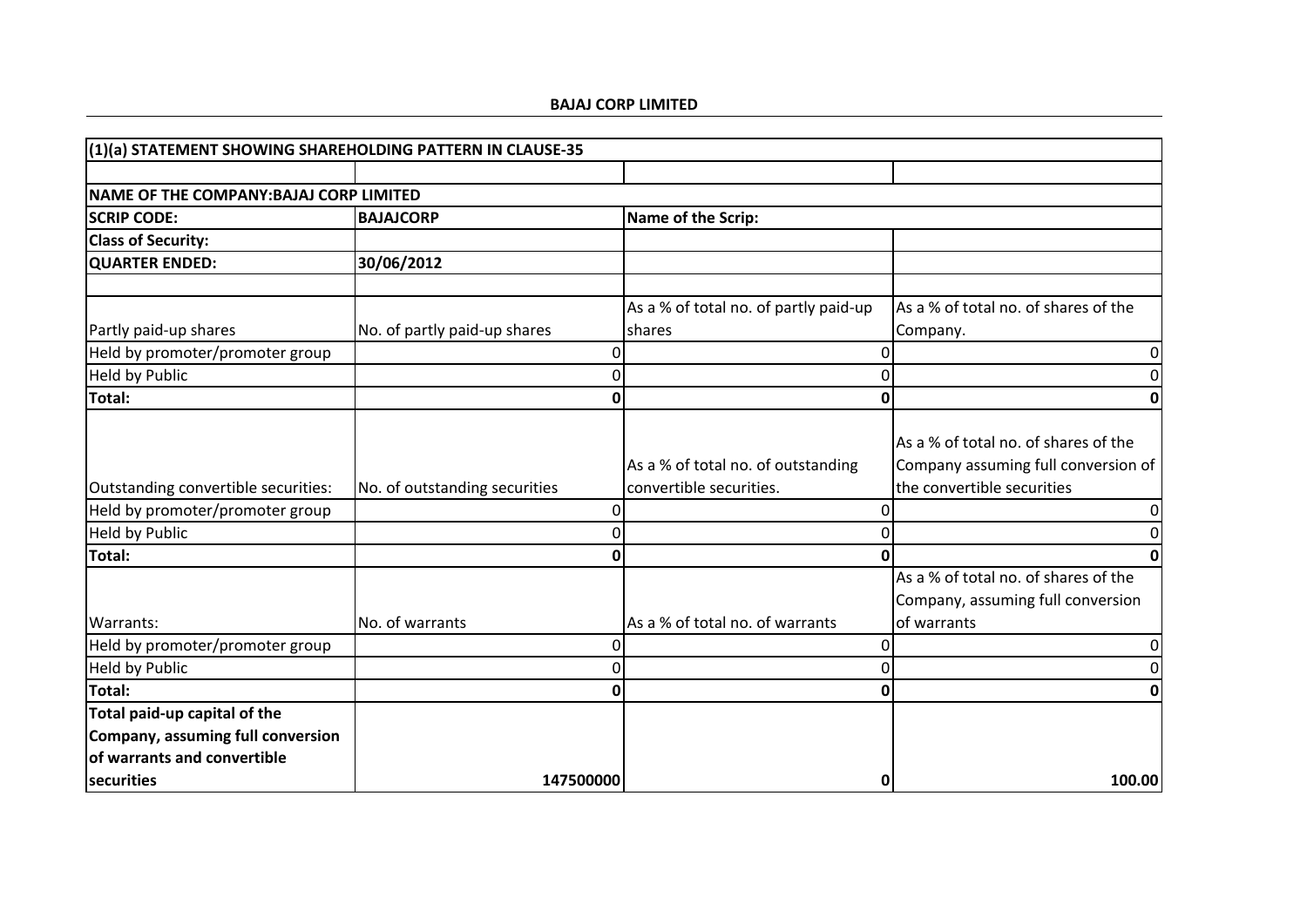| (1)(a) STATEMENT SHOWING SHAREHOLDING PATTERN IN CLAUSE-35                                       |                               |   |                                       |                                                                                          |
|--------------------------------------------------------------------------------------------------|-------------------------------|---|---------------------------------------|------------------------------------------------------------------------------------------|
|                                                                                                  |                               |   |                                       |                                                                                          |
| NAME OF THE COMPANY: BAJAJ CORP LIMITED                                                          |                               |   |                                       |                                                                                          |
| <b>SCRIP CODE:</b>                                                                               | <b>BAJAJCORP</b>              |   | Name of the Scrip:                    |                                                                                          |
| <b>Class of Security:</b>                                                                        |                               |   |                                       |                                                                                          |
| <b>QUARTER ENDED:</b>                                                                            | 30/06/2012                    |   |                                       |                                                                                          |
|                                                                                                  |                               |   |                                       |                                                                                          |
|                                                                                                  |                               |   | As a % of total no. of partly paid-up | As a % of total no. of shares of the                                                     |
| Partly paid-up shares                                                                            | No. of partly paid-up shares  |   | shares                                | Company.                                                                                 |
| Held by promoter/promoter group                                                                  |                               | O |                                       | 0                                                                                        |
| <b>Held by Public</b>                                                                            |                               |   |                                       | 0                                                                                        |
| <b>Total:</b>                                                                                    |                               |   |                                       | 0                                                                                        |
|                                                                                                  |                               |   | As a % of total no. of outstanding    | As a % of total no. of shares of the<br>Company assuming full conversion of              |
| Outstanding convertible securities:                                                              | No. of outstanding securities |   | convertible securities.               | the convertible securities                                                               |
| Held by promoter/promoter group                                                                  |                               | 0 |                                       | 0                                                                                        |
| <b>Held by Public</b>                                                                            |                               | U |                                       | 0                                                                                        |
| Total:                                                                                           |                               |   |                                       | U                                                                                        |
| Warrants:                                                                                        | No. of warrants               |   | As a % of total no. of warrants       | As a % of total no. of shares of the<br>Company, assuming full conversion<br>of warrants |
| Held by promoter/promoter group                                                                  |                               |   |                                       | 0                                                                                        |
| <b>Held by Public</b>                                                                            |                               |   |                                       | 0                                                                                        |
| Total:                                                                                           |                               |   | ი                                     | 0                                                                                        |
| Total paid-up capital of the<br>Company, assuming full conversion<br>of warrants and convertible |                               |   |                                       |                                                                                          |
| securities                                                                                       | 147500000                     |   |                                       | 100.00<br>0                                                                              |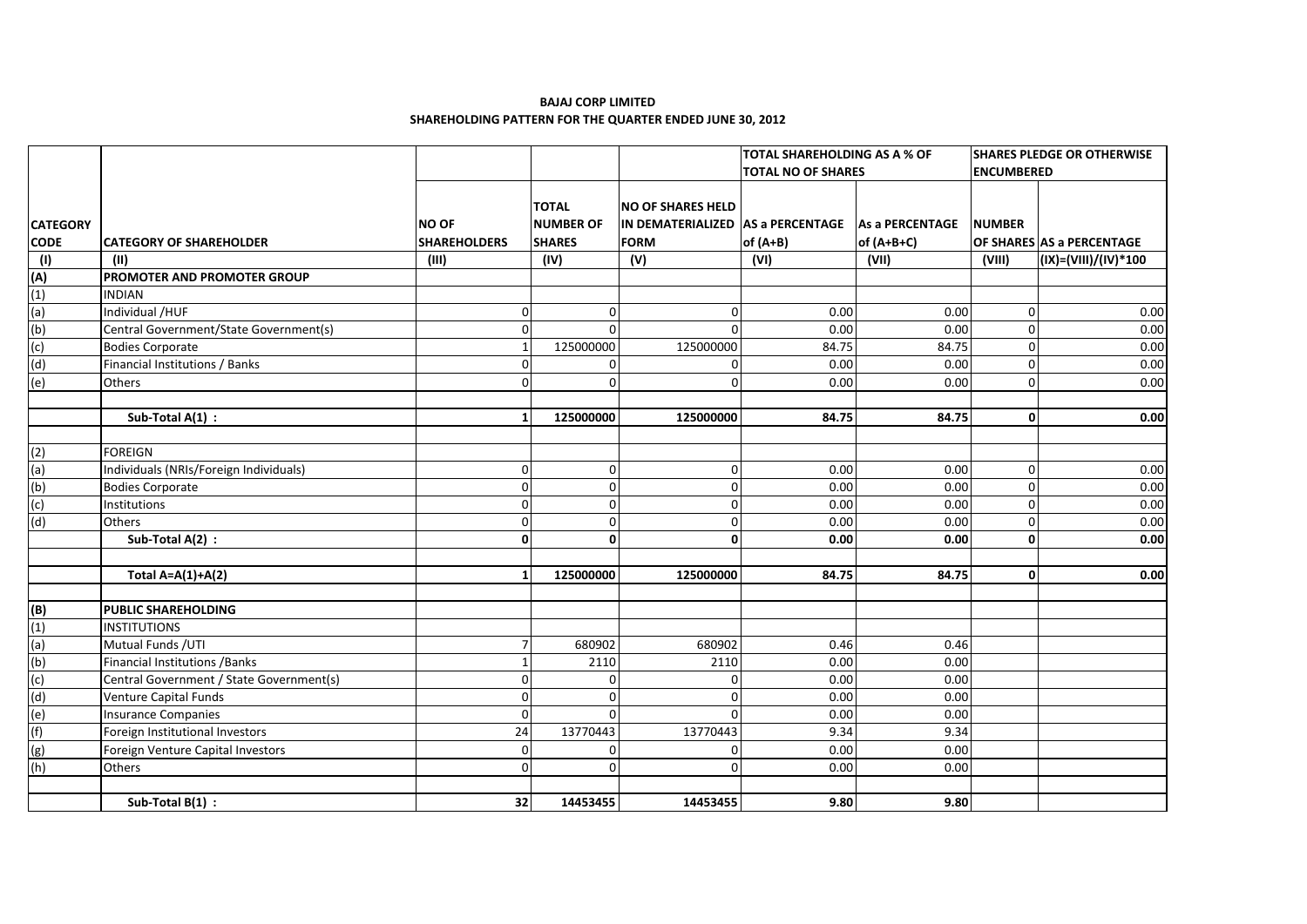|                           |                                          |                     |                  |                                                       | <b>TOTAL SHAREHOLDING AS A % OF</b> |              | <b>SHARES PLEDGE OR OTHERWISE</b> |                           |
|---------------------------|------------------------------------------|---------------------|------------------|-------------------------------------------------------|-------------------------------------|--------------|-----------------------------------|---------------------------|
|                           |                                          |                     |                  |                                                       | <b>TOTAL NO OF SHARES</b>           |              | <b>ENCUMBERED</b>                 |                           |
|                           |                                          |                     |                  |                                                       |                                     |              |                                   |                           |
|                           |                                          |                     | <b>TOTAL</b>     | <b>NO OF SHARES HELD</b>                              |                                     |              |                                   |                           |
| <b>CATEGORY</b>           |                                          | <b>NO OF</b>        | <b>NUMBER OF</b> | IN DEMATERIALIZED   AS a PERCENTAGE   As a PERCENTAGE |                                     |              | <b>NUMBER</b>                     |                           |
| <b>CODE</b>               | <b>CATEGORY OF SHAREHOLDER</b>           | <b>SHAREHOLDERS</b> | <b>SHARES</b>    | <b>FORM</b>                                           | of (A+B)                            | of $(A+B+C)$ |                                   | OF SHARES AS a PERCENTAGE |
| $\overline{(\mathsf{I})}$ | (11)                                     | (III)               | (IV)             | (V)                                                   | (VI)                                | (VII)        | (VIII)                            | (IX)=(VIII)/(IV)*100      |
| (A)                       | PROMOTER AND PROMOTER GROUP              |                     |                  |                                                       |                                     |              |                                   |                           |
| (1)                       | <b>INDIAN</b>                            |                     |                  |                                                       |                                     |              |                                   |                           |
| (a)                       | Individual /HUF                          | $\mathbf 0$         | $\Omega$         | $\Omega$                                              | 0.00                                | 0.00         | $\Omega$                          | 0.00                      |
| (b)                       | Central Government/State Government(s)   | $\mathbf 0$         | $\Omega$         |                                                       | 0.00                                | 0.00         | $\Omega$                          | 0.00                      |
| (c)                       | <b>Bodies Corporate</b>                  | $\mathbf 1$         | 125000000        | 125000000                                             | 84.75                               | 84.75        | $\Omega$                          | 0.00                      |
| (d)                       | Financial Institutions / Banks           | $\mathbf 0$         | $\Omega$         | $\Omega$                                              | 0.00                                | 0.00         | $\Omega$                          | 0.00                      |
| (e)                       | <b>Others</b>                            | $\Omega$            | $\Omega$         | $\Omega$                                              | 0.00                                | 0.00         | $\Omega$                          | 0.00                      |
|                           |                                          |                     |                  |                                                       |                                     |              |                                   |                           |
|                           | Sub-Total A(1) :                         | $\mathbf{1}$        | 125000000        | 125000000                                             | 84.75                               | 84.75        | 0                                 | 0.00                      |
|                           |                                          |                     |                  |                                                       |                                     |              |                                   |                           |
| (2)                       | <b>FOREIGN</b>                           |                     |                  |                                                       |                                     |              |                                   |                           |
| (a)                       | Individuals (NRIs/Foreign Individuals)   | $\mathbf 0$         | $\Omega$         | $\Omega$                                              | 0.00                                | 0.00         | $\Omega$                          | 0.00                      |
| (b)                       | <b>Bodies Corporate</b>                  | $\mathbf 0$         | $\Omega$         | $\Omega$                                              | 0.00                                | 0.00         | 0                                 | 0.00                      |
| (c)                       | Institutions                             | $\mathbf 0$         | $\Omega$         | $\Omega$                                              | 0.00                                | 0.00         | $\Omega$                          | 0.00                      |
| (d)                       | <b>Others</b>                            | $\mathbf{0}$        | $\Omega$         | $\Omega$                                              | 0.00                                | 0.00         | $\Omega$                          | 0.00                      |
|                           | Sub-Total A(2) :                         | $\mathbf{0}$        | $\Omega$         | $\mathbf{0}$                                          | 0.00                                | 0.00         | $\Omega$                          | 0.00                      |
|                           |                                          |                     |                  |                                                       |                                     |              |                                   |                           |
|                           | Total A=A(1)+A(2)                        | $\mathbf{1}$        | 125000000        | 125000000                                             | 84.75                               | 84.75        | $\Omega$                          | 0.00                      |
|                           |                                          |                     |                  |                                                       |                                     |              |                                   |                           |
| (B)                       | <b>PUBLIC SHAREHOLDING</b>               |                     |                  |                                                       |                                     |              |                                   |                           |
| (1)                       | <b>INSTITUTIONS</b>                      |                     |                  |                                                       |                                     |              |                                   |                           |
| (a)                       | Mutual Funds / UTI                       | 7                   | 680902           | 680902                                                | 0.46                                | 0.46         |                                   |                           |
| (b)                       | <b>Financial Institutions / Banks</b>    | $\mathbf{1}$        | 2110             | 2110                                                  | 0.00                                | 0.00         |                                   |                           |
| (c)                       | Central Government / State Government(s) | $\mathbf 0$         | n                | n                                                     | 0.00                                | 0.00         |                                   |                           |
| (d)                       | <b>Venture Capital Funds</b>             | $\mathbf 0$         | $\Omega$         | $\Omega$                                              | 0.00                                | 0.00         |                                   |                           |
| (e)                       | <b>Insurance Companies</b>               | $\mathbf 0$         | $\Omega$         | $\Omega$                                              | 0.00                                | 0.00         |                                   |                           |
| (f)                       | Foreign Institutional Investors          | 24                  | 13770443         | 13770443                                              | 9.34                                | 9.34         |                                   |                           |
| (g)                       | Foreign Venture Capital Investors        | $\mathbf 0$         | $\Omega$         | $\Omega$                                              | 0.00                                | 0.00         |                                   |                           |
| (h)                       | <b>Others</b>                            | $\mathbf{0}$        | ∩                |                                                       | 0.00                                | 0.00         |                                   |                           |
|                           |                                          |                     |                  |                                                       |                                     |              |                                   |                           |
|                           | Sub-Total $B(1)$ :                       | 32                  | 14453455         | 14453455                                              | 9.80                                | 9.80         |                                   |                           |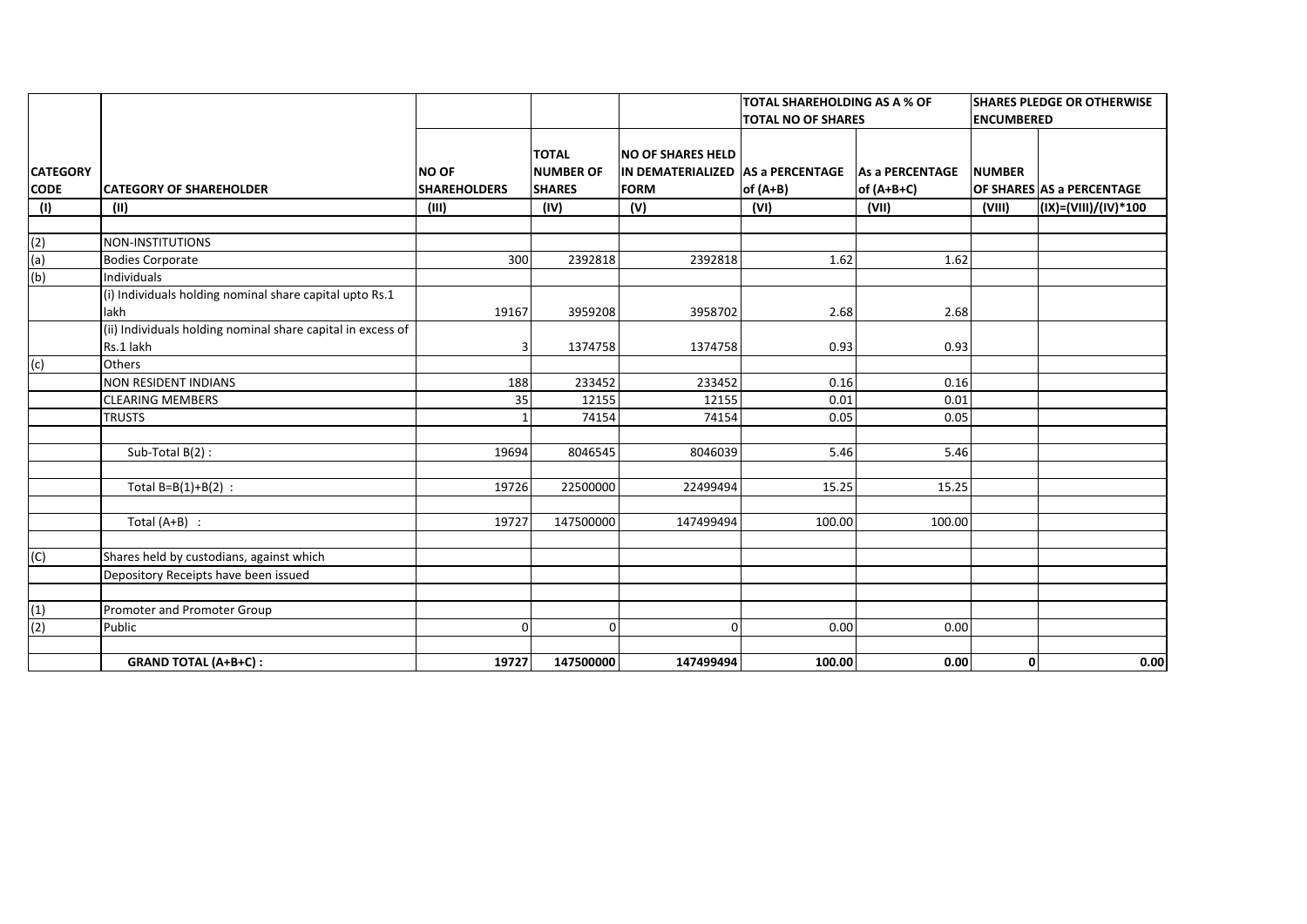|                                |                                                                          |                                     |                                                   |                                                                              | <b>TOTAL SHAREHOLDING AS A % OF</b> |                                      | <b>SHARES PLEDGE OR OTHERWISE</b> |                           |
|--------------------------------|--------------------------------------------------------------------------|-------------------------------------|---------------------------------------------------|------------------------------------------------------------------------------|-------------------------------------|--------------------------------------|-----------------------------------|---------------------------|
|                                |                                                                          |                                     |                                                   |                                                                              | <b>TOTAL NO OF SHARES</b>           |                                      | <b>ENCUMBERED</b>                 |                           |
| <b>CATEGORY</b><br><b>CODE</b> | <b>CATEGORY OF SHAREHOLDER</b>                                           | <b>NO OF</b><br><b>SHAREHOLDERS</b> | <b>TOTAL</b><br><b>NUMBER OF</b><br><b>SHARES</b> | <b>NO OF SHARES HELD</b><br>IN DEMATERIALIZED AS a PERCENTAGE<br><b>FORM</b> | of $(A+B)$                          | <b>As a PERCENTAGE</b><br>of (A+B+C) | <b>NUMBER</b>                     | OF SHARES AS a PERCENTAGE |
| (1)                            | (II)                                                                     | (III)                               | (IV)                                              | (V)                                                                          | (VI)                                | (VII)                                | (VIII)                            | (IX)=(VIII)/(IV)*100      |
|                                |                                                                          |                                     |                                                   |                                                                              |                                     |                                      |                                   |                           |
| (2)                            | <b>NON-INSTITUTIONS</b>                                                  |                                     |                                                   |                                                                              |                                     |                                      |                                   |                           |
| (a)                            | <b>Bodies Corporate</b>                                                  | 300                                 | 2392818                                           | 2392818                                                                      | 1.62                                | 1.62                                 |                                   |                           |
| (b)                            | <b>Individuals</b>                                                       |                                     |                                                   |                                                                              |                                     |                                      |                                   |                           |
|                                | (i) Individuals holding nominal share capital upto Rs.1                  |                                     |                                                   |                                                                              |                                     |                                      |                                   |                           |
|                                | lakh                                                                     | 19167                               | 3959208                                           | 3958702                                                                      | 2.68                                | 2.68                                 |                                   |                           |
|                                | (ii) Individuals holding nominal share capital in excess of<br>Rs.1 lakh | 3                                   | 1374758                                           | 1374758                                                                      | 0.93                                | 0.93                                 |                                   |                           |
| (c)                            | <b>Others</b>                                                            |                                     |                                                   |                                                                              |                                     |                                      |                                   |                           |
|                                | <b>NON RESIDENT INDIANS</b>                                              | 188                                 | 233452                                            | 233452                                                                       | 0.16                                | 0.16                                 |                                   |                           |
|                                | <b>CLEARING MEMBERS</b>                                                  | 35                                  | 12155                                             | 12155                                                                        | 0.01                                | 0.01                                 |                                   |                           |
|                                | <b>TRUSTS</b>                                                            |                                     | 74154                                             | 74154                                                                        | 0.05                                | 0.05                                 |                                   |                           |
|                                |                                                                          |                                     |                                                   |                                                                              |                                     |                                      |                                   |                           |
|                                | Sub-Total B(2):                                                          | 19694                               | 8046545                                           | 8046039                                                                      | 5.46                                | 5.46                                 |                                   |                           |
|                                |                                                                          |                                     |                                                   |                                                                              |                                     |                                      |                                   |                           |
|                                | Total $B=B(1)+B(2)$ :                                                    | 19726                               | 22500000                                          | 22499494                                                                     | 15.25                               | 15.25                                |                                   |                           |
|                                |                                                                          |                                     |                                                   |                                                                              |                                     |                                      |                                   |                           |
|                                | Total $(A+B)$ :                                                          | 19727                               | 147500000                                         | 147499494                                                                    | 100.00                              | 100.00                               |                                   |                           |
|                                |                                                                          |                                     |                                                   |                                                                              |                                     |                                      |                                   |                           |
| (C)                            | Shares held by custodians, against which                                 |                                     |                                                   |                                                                              |                                     |                                      |                                   |                           |
|                                | Depository Receipts have been issued                                     |                                     |                                                   |                                                                              |                                     |                                      |                                   |                           |
|                                |                                                                          |                                     |                                                   |                                                                              |                                     |                                      |                                   |                           |
| $\frac{(1)}{(2)}$              | Promoter and Promoter Group                                              |                                     |                                                   |                                                                              |                                     |                                      |                                   |                           |
|                                | Public                                                                   | $\Omega$                            | $\Omega$                                          | $\Omega$                                                                     | 0.00                                | 0.00                                 |                                   |                           |
|                                |                                                                          |                                     |                                                   |                                                                              |                                     |                                      |                                   |                           |
|                                | <b>GRAND TOTAL (A+B+C):</b>                                              | 19727                               | 147500000                                         | 147499494                                                                    | 100.00                              | 0.00                                 | $\mathbf{0}$                      | 0.00                      |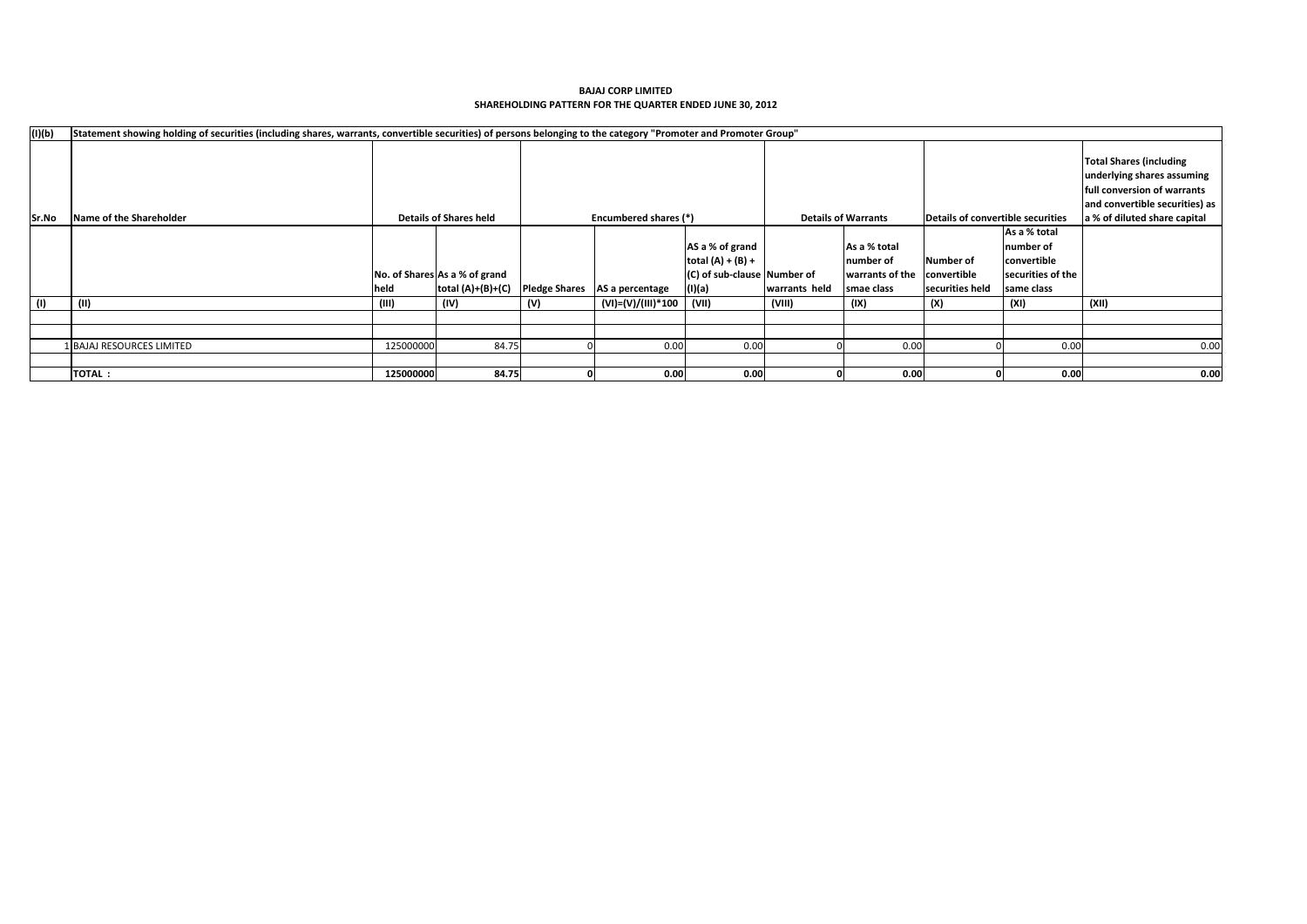| (I)(b) | Statement showing holding of securities (including shares, warrants, convertible securities) of persons belonging to the category "Promoter and Promoter Group" |           |                               |     |                               |                             |               |                            |                                   |                   |                                                                                                                               |
|--------|-----------------------------------------------------------------------------------------------------------------------------------------------------------------|-----------|-------------------------------|-----|-------------------------------|-----------------------------|---------------|----------------------------|-----------------------------------|-------------------|-------------------------------------------------------------------------------------------------------------------------------|
|        |                                                                                                                                                                 |           |                               |     |                               |                             |               |                            |                                   |                   | <b>Total Shares (including</b><br>underlying shares assuming<br>full conversion of warrants<br>and convertible securities) as |
| Sr.No  | Name of the Shareholder                                                                                                                                         |           | <b>Details of Shares held</b> |     | Encumbered shares (*)         |                             |               | <b>Details of Warrants</b> | Details of convertible securities |                   | a % of diluted share capital                                                                                                  |
|        |                                                                                                                                                                 |           |                               |     |                               |                             |               |                            |                                   | As a % total      |                                                                                                                               |
|        |                                                                                                                                                                 |           |                               |     |                               | AS a % of grand             |               | As a % total               |                                   | number of         |                                                                                                                               |
|        |                                                                                                                                                                 |           |                               |     |                               | total $(A) + (B) +$         |               | number of                  | Number of                         | convertible       |                                                                                                                               |
|        |                                                                                                                                                                 |           | No. of Shares As a % of grand |     |                               | (C) of sub-clause Number of |               | warrants of the            | convertible                       | securities of the |                                                                                                                               |
|        |                                                                                                                                                                 | held      | total $(A)+(B)+(C)$           |     | Pledge Shares AS a percentage | (I)(a)                      | warrants held | smae class                 | securities held                   | same class        |                                                                                                                               |
| (1)    | (11)                                                                                                                                                            | (III)     | (IV)                          | (V) | (VI)=(V)/(III)*100            | (VII)                       | (VIII)        | (IX)                       | (X)                               | (XI)              | (XII)                                                                                                                         |
|        |                                                                                                                                                                 |           |                               |     |                               |                             |               |                            |                                   |                   |                                                                                                                               |
|        |                                                                                                                                                                 |           |                               |     |                               |                             |               |                            |                                   |                   |                                                                                                                               |
|        | 1 BAJAJ RESOURCES LIMITED                                                                                                                                       | 125000000 | 84.75                         |     | 0.00                          | 0.00                        |               | 0.00                       |                                   | 0.00              | 0.00                                                                                                                          |
|        |                                                                                                                                                                 |           |                               |     |                               |                             |               |                            |                                   |                   |                                                                                                                               |
|        | <b>TOTAL:</b>                                                                                                                                                   | 125000000 | 84.75                         |     | 0.00                          | 0.00                        |               | 0.00                       |                                   | 0.00              | 0.00                                                                                                                          |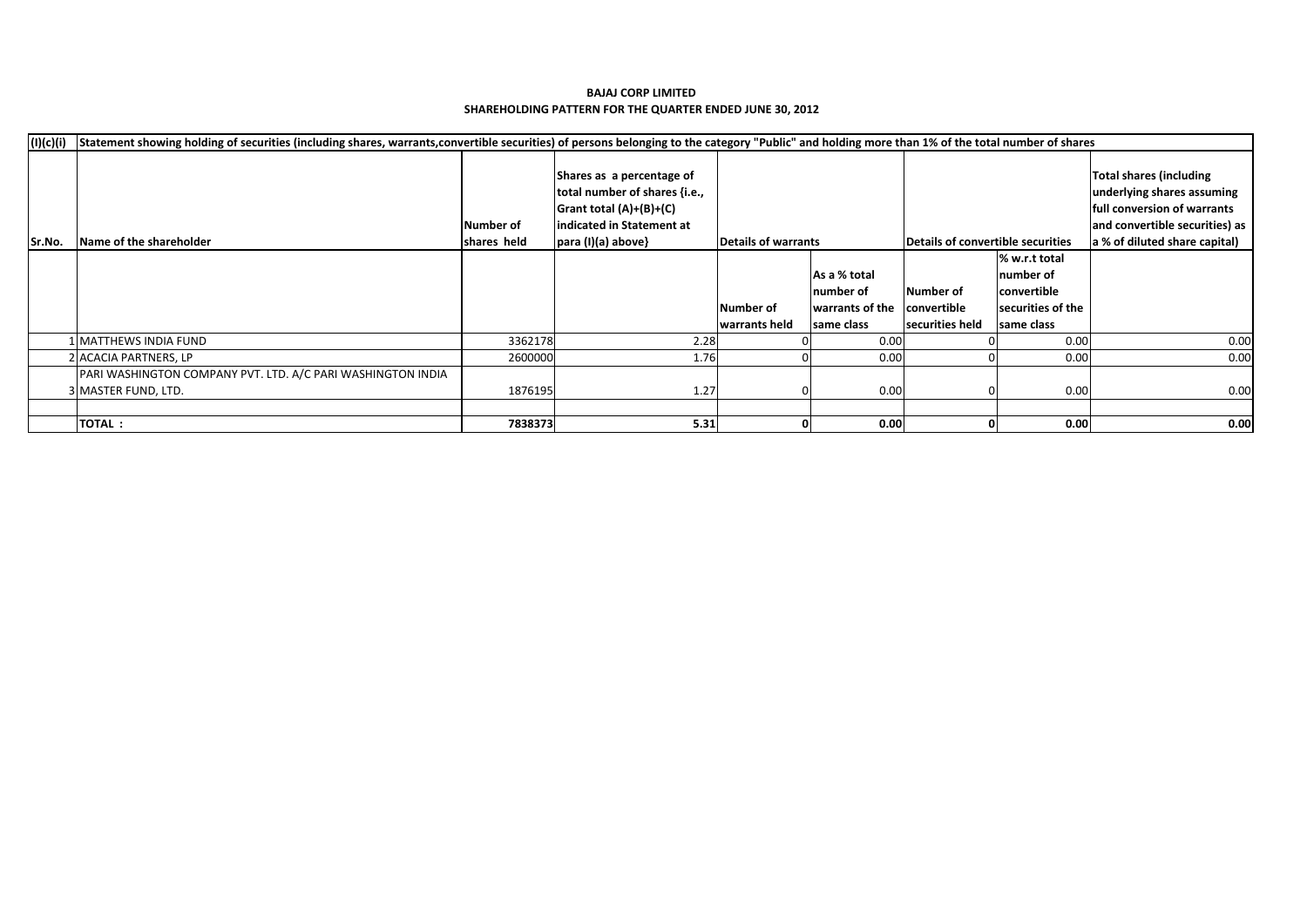#### **SHAREHOLDING PATTERN FOR THE QUARTER ENDED JUNE 30, 2012 BAJAJ CORP LIMITED**

| (I)(c)(i) | Statement showing holding of securities (including shares, warrants,convertible securities) of persons belonging to the category "Public" and holding more than 1% of the total number of shares |             |                                                                                                                      |                            |                 |                                   |                   |                                                                                                                                |
|-----------|--------------------------------------------------------------------------------------------------------------------------------------------------------------------------------------------------|-------------|----------------------------------------------------------------------------------------------------------------------|----------------------------|-----------------|-----------------------------------|-------------------|--------------------------------------------------------------------------------------------------------------------------------|
|           |                                                                                                                                                                                                  | Number of   | Shares as a percentage of<br>total number of shares {i.e.,<br>Grant total $(A)+(B)+(C)$<br>indicated in Statement at |                            |                 |                                   |                   | Total shares (including<br>underlying shares assuming<br><b>Ifull conversion of warrants</b><br>and convertible securities) as |
| Sr.No.    | Name of the shareholder                                                                                                                                                                          | shares held | para (I)(a) above}                                                                                                   | <b>Details of warrants</b> |                 | Details of convertible securities |                   | a % of diluted share capital)                                                                                                  |
|           |                                                                                                                                                                                                  |             |                                                                                                                      |                            |                 |                                   | % w.r.t total     |                                                                                                                                |
|           |                                                                                                                                                                                                  |             |                                                                                                                      |                            | As a % total    |                                   | number of         |                                                                                                                                |
|           |                                                                                                                                                                                                  |             |                                                                                                                      |                            | number of       | Number of                         | convertible       |                                                                                                                                |
|           |                                                                                                                                                                                                  |             |                                                                                                                      | Number of                  | warrants of the | convertible                       | securities of the |                                                                                                                                |
|           |                                                                                                                                                                                                  |             |                                                                                                                      | warrants held              | same class      | securities held                   | same class        |                                                                                                                                |
|           | 1 MATTHEWS INDIA FUND                                                                                                                                                                            | 3362178     | 2.28                                                                                                                 |                            | 0.00            |                                   | 0.00              | 0.00                                                                                                                           |
|           | 2 ACACIA PARTNERS, LP                                                                                                                                                                            | 2600000     | 1.76                                                                                                                 |                            | 0.00            |                                   | 0.00              | 0.00                                                                                                                           |
|           | PARI WASHINGTON COMPANY PVT. LTD. A/C PARI WASHINGTON INDIA                                                                                                                                      |             |                                                                                                                      |                            |                 |                                   |                   |                                                                                                                                |
|           | 3 MASTER FUND, LTD.                                                                                                                                                                              | 1876195     | 1.27                                                                                                                 |                            | 0.00            |                                   | 0.00              | 0.00                                                                                                                           |
|           |                                                                                                                                                                                                  |             |                                                                                                                      |                            |                 |                                   |                   |                                                                                                                                |
|           | <b>TOTAL:</b>                                                                                                                                                                                    | 7838373     | 5.31                                                                                                                 |                            | 0.00            |                                   | 0.00              | 0.00                                                                                                                           |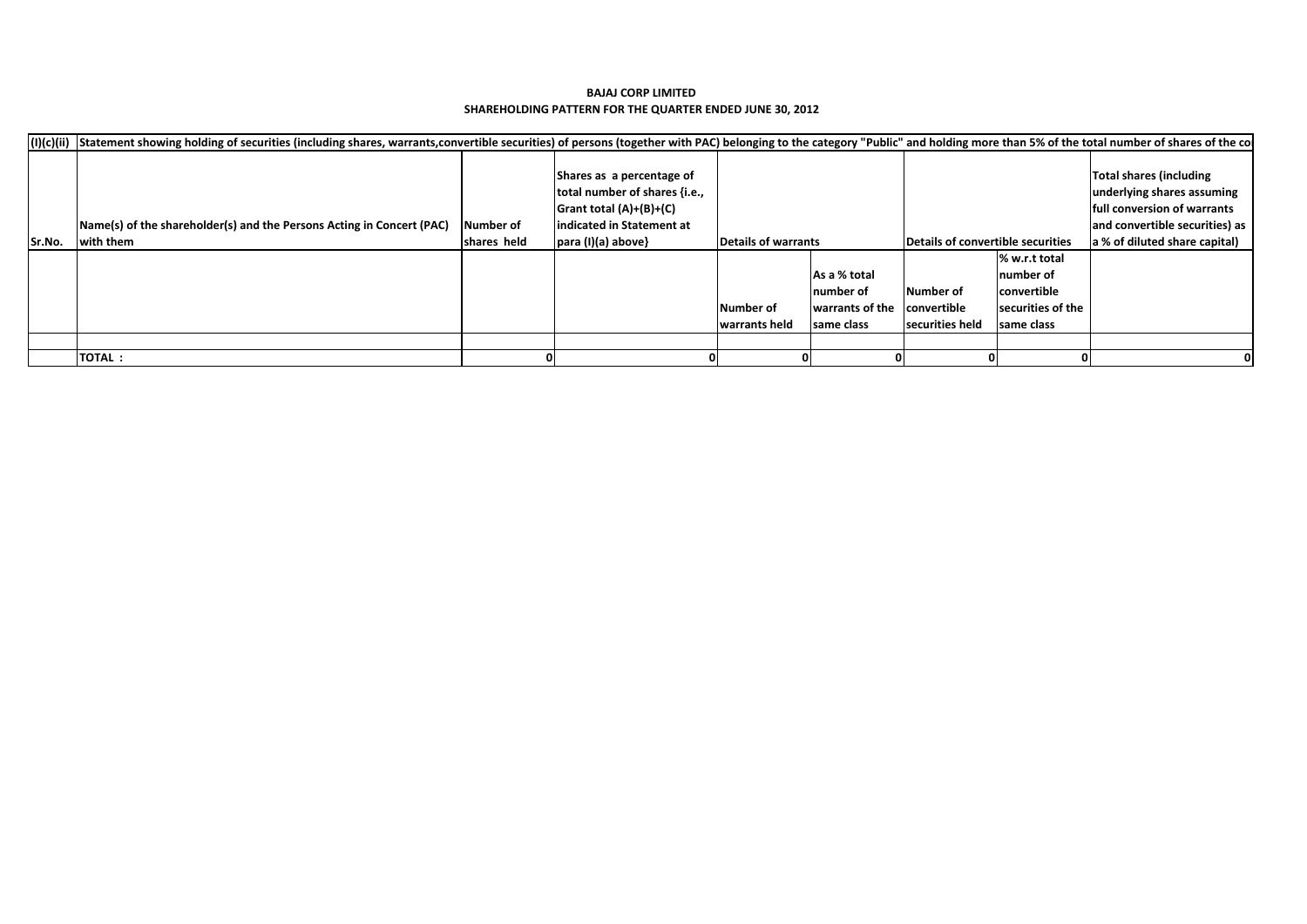|        | (I)(c)(ii) Statement showing holding of securities (including shares, warrants,convertible securities) of persons (together with PAC) belonging to the category "Public" and holding more than 5% of the total number of share |                  |                               |                     |                 |                                   |                    |                                     |
|--------|--------------------------------------------------------------------------------------------------------------------------------------------------------------------------------------------------------------------------------|------------------|-------------------------------|---------------------|-----------------|-----------------------------------|--------------------|-------------------------------------|
|        |                                                                                                                                                                                                                                |                  |                               |                     |                 |                                   |                    |                                     |
|        |                                                                                                                                                                                                                                |                  | Shares as a percentage of     |                     |                 |                                   |                    | Total shares (including             |
|        |                                                                                                                                                                                                                                |                  | total number of shares {i.e., |                     |                 |                                   |                    | underlying shares assuming          |
|        |                                                                                                                                                                                                                                |                  | Grant total $(A)+(B)+(C)$     |                     |                 |                                   |                    | <b>Ifull conversion of warrants</b> |
|        | Name(s) of the shareholder(s) and the Persons Acting in Concert (PAC)                                                                                                                                                          | <b>Number of</b> | indicated in Statement at     |                     |                 |                                   |                    | and convertible securities) as      |
| Sr.No. | with them                                                                                                                                                                                                                      | shares held      | $para (I)(a) above\}$         | Details of warrants |                 | Details of convertible securities |                    | a % of diluted share capital)       |
|        |                                                                                                                                                                                                                                |                  |                               |                     |                 |                                   | % w.r.t total      |                                     |
|        |                                                                                                                                                                                                                                |                  |                               |                     | As a % total    |                                   | Inumber of         |                                     |
|        |                                                                                                                                                                                                                                |                  |                               |                     | Inumber of      | Number of                         | <b>convertible</b> |                                     |
|        |                                                                                                                                                                                                                                |                  |                               | Number of           | warrants of the | convertible                       | securities of the  |                                     |
|        |                                                                                                                                                                                                                                |                  |                               | warrants held       | same class      | securities held                   | same class         |                                     |
|        |                                                                                                                                                                                                                                |                  |                               |                     |                 |                                   |                    |                                     |
|        | <b>TOTAL:</b>                                                                                                                                                                                                                  |                  |                               |                     |                 |                                   |                    |                                     |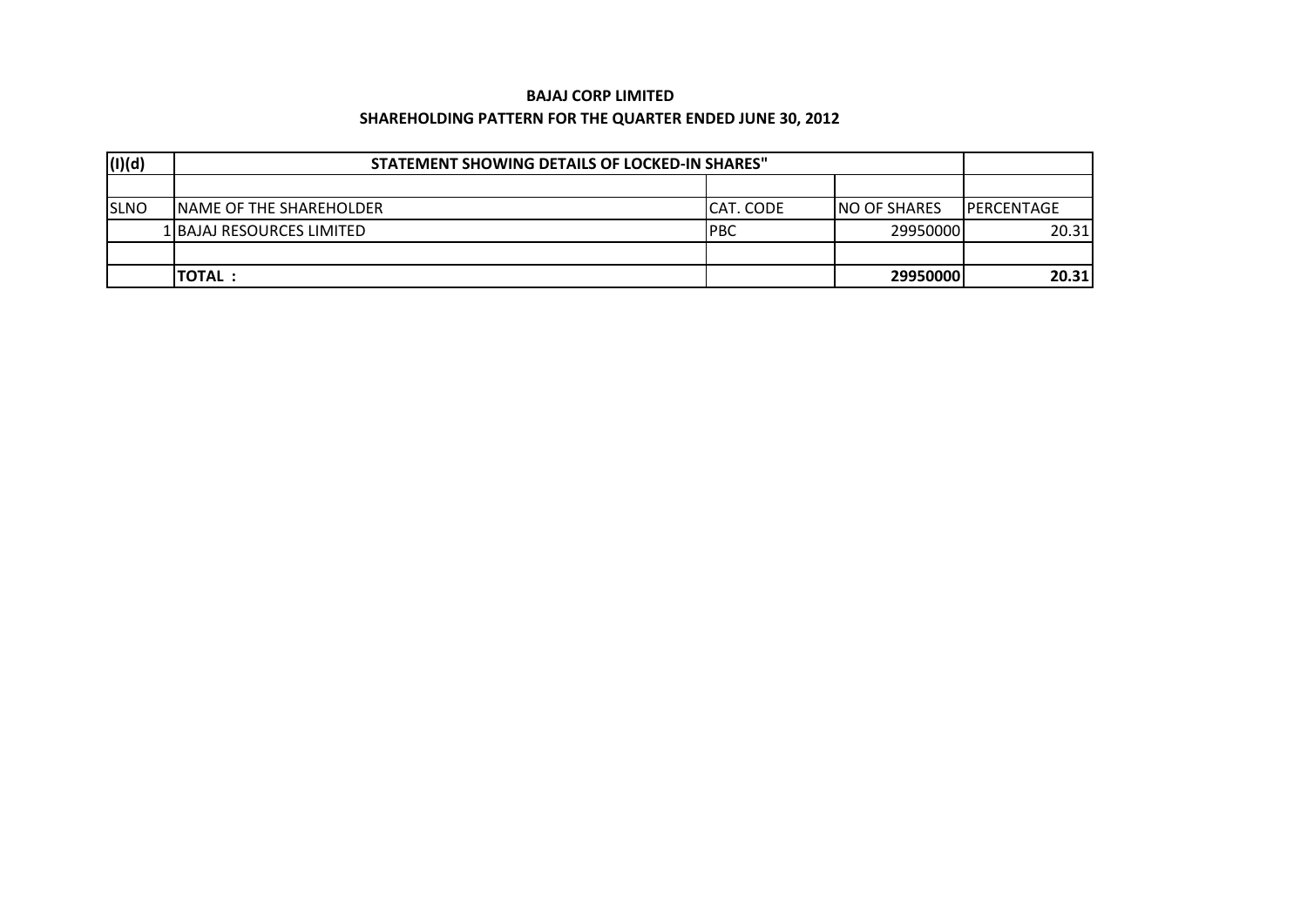### **BAJAJ CORP LIMITED**

### **SHAREHOLDING PATTERN FOR THE QUARTER ENDED JUNE 30, 2012**

| (I)(d)      | STATEMENT SHOWING DETAILS OF LOCKED-IN SHARES" |                  |                      |                    |  |  |  |  |
|-------------|------------------------------------------------|------------------|----------------------|--------------------|--|--|--|--|
|             |                                                |                  |                      |                    |  |  |  |  |
| <b>SLNO</b> | <b>INAME OF THE SHAREHOLDER</b>                | <b>CAT. CODE</b> | <b>INO OF SHARES</b> | <b>IPERCENTAGE</b> |  |  |  |  |
|             | 1 BAJAJ RESOURCES LIMITED                      | <b>IPBC</b>      | 29950000             | 20.31              |  |  |  |  |
|             |                                                |                  |                      |                    |  |  |  |  |
|             | <b>TOTAL:</b>                                  |                  | 29950000             | 20.31              |  |  |  |  |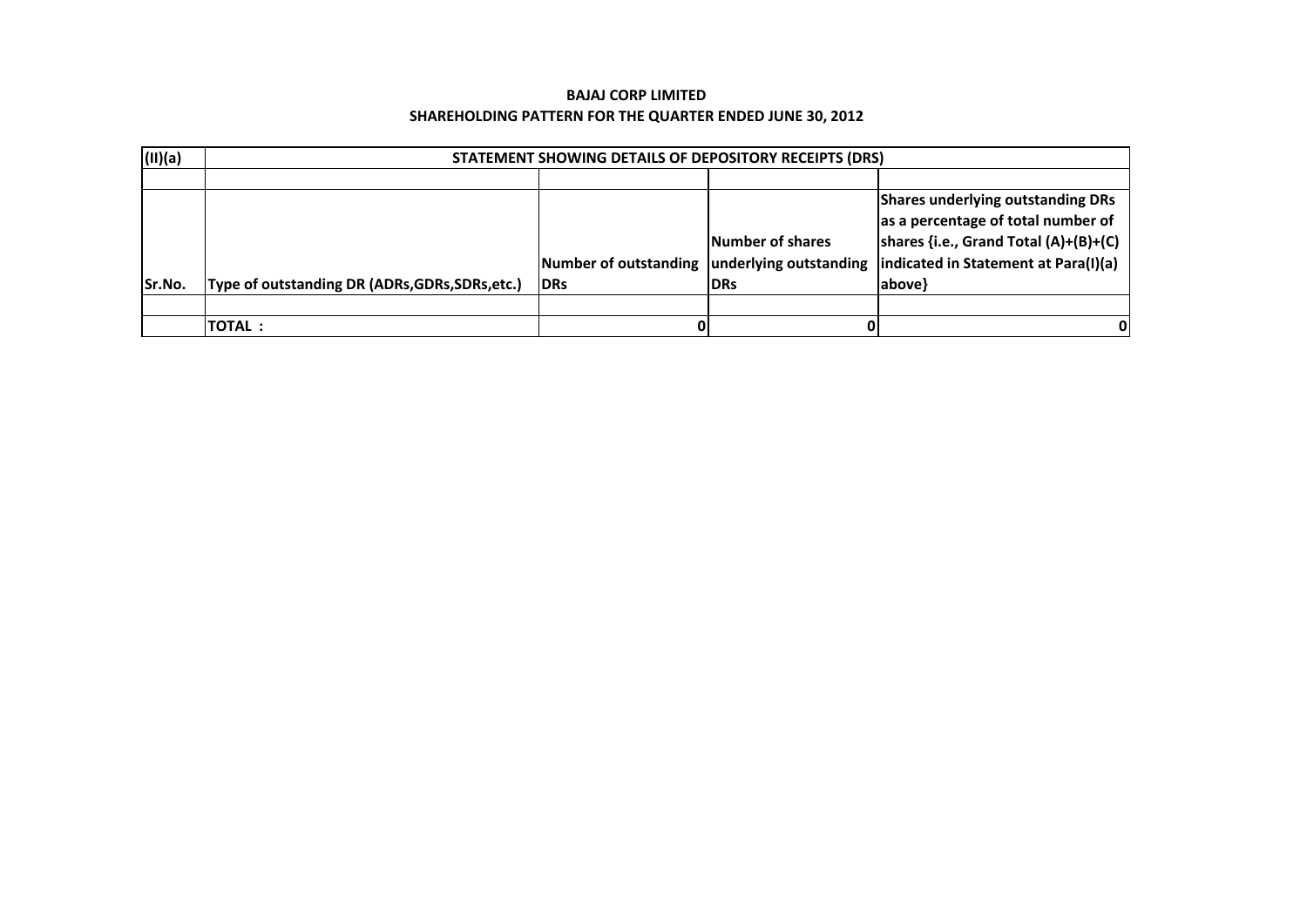| (II)(a) | STATEMENT SHOWING DETAILS OF DEPOSITORY RECEIPTS (DRS) |                                              |                         |                                                                                                                                                                   |  |  |  |  |  |
|---------|--------------------------------------------------------|----------------------------------------------|-------------------------|-------------------------------------------------------------------------------------------------------------------------------------------------------------------|--|--|--|--|--|
|         |                                                        |                                              |                         |                                                                                                                                                                   |  |  |  |  |  |
|         |                                                        | Number of outstanding underlying outstanding | <b>Number of shares</b> | <b>Shares underlying outstanding DRs</b><br>as a percentage of total number of<br>shares {i.e., Grand Total $(A)+(B)+(C)$<br>indicated in Statement at Para(I)(a) |  |  |  |  |  |
| Sr.No.  | Type of outstanding DR (ADRs, GDRs, SDRs, etc.)        | <b>IDRs</b>                                  | <b>IDRs</b>             | above}                                                                                                                                                            |  |  |  |  |  |
|         |                                                        |                                              |                         |                                                                                                                                                                   |  |  |  |  |  |
|         | <b>TOTAL:</b>                                          | 0                                            |                         |                                                                                                                                                                   |  |  |  |  |  |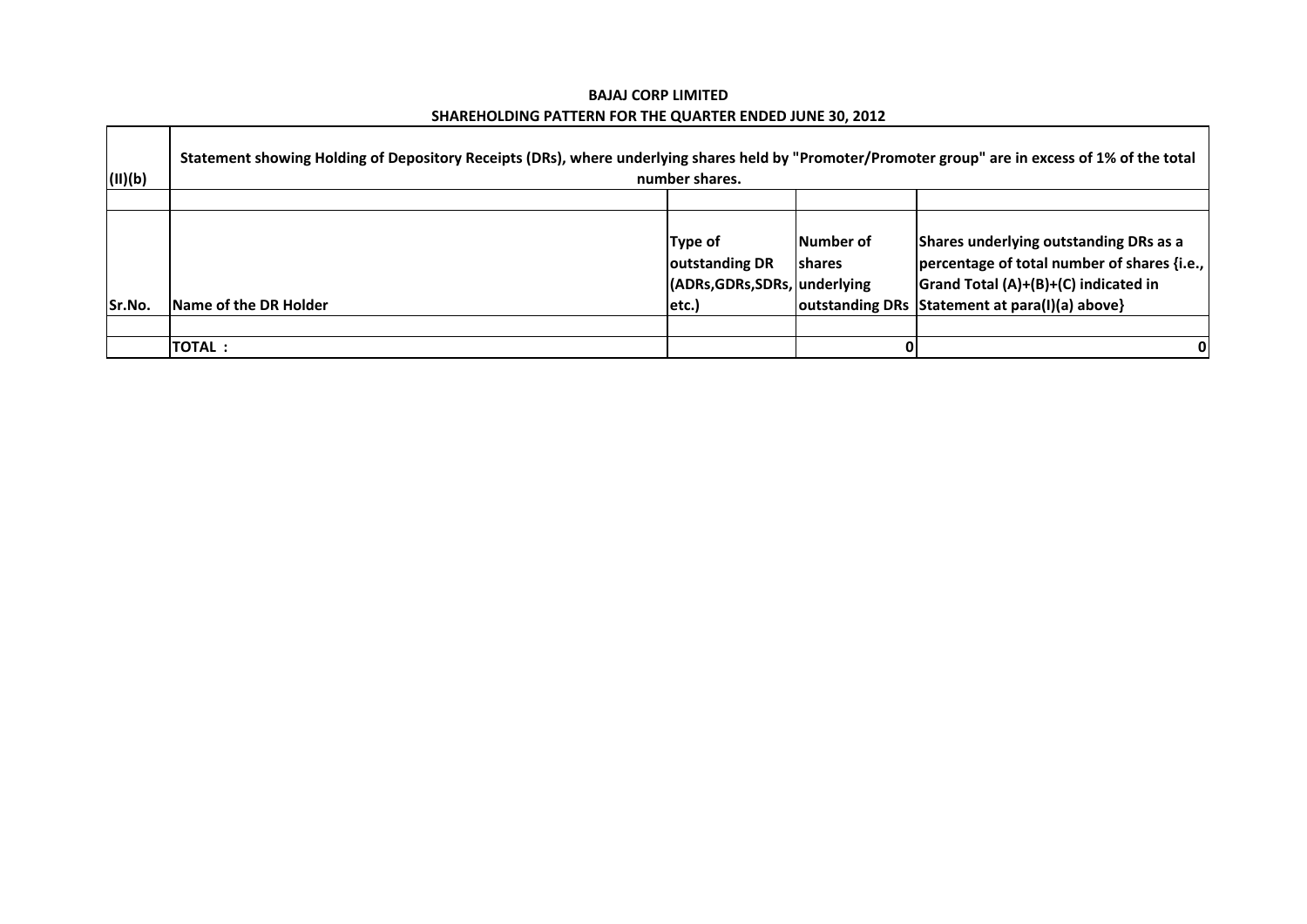$\blacksquare$ 

 $\Gamma$ 

| (II)(b) | Statement showing Holding of Depository Receipts (DRs), where underlying shares held by "Promoter/Promoter group" are in excess of 1% of the total | number shares.                |               |                                                  |
|---------|----------------------------------------------------------------------------------------------------------------------------------------------------|-------------------------------|---------------|--------------------------------------------------|
|         |                                                                                                                                                    |                               |               |                                                  |
|         |                                                                                                                                                    | Type of                       | lNumber of    | Shares underlying outstanding DRs as a           |
|         |                                                                                                                                                    | outstanding DR                | <b>shares</b> | percentage of total number of shares {i.e.,      |
|         |                                                                                                                                                    | (ADRs, GDRs, SDRs, underlying |               | Grand Total (A)+(B)+(C) indicated in             |
| Sr.No.  | <b>Name of the DR Holder</b>                                                                                                                       | $ $ etc. $)$                  |               | outstanding DRs   Statement at para(I)(a) above} |
|         |                                                                                                                                                    |                               |               |                                                  |
|         | <b>TOTAL:</b>                                                                                                                                      |                               |               | 0                                                |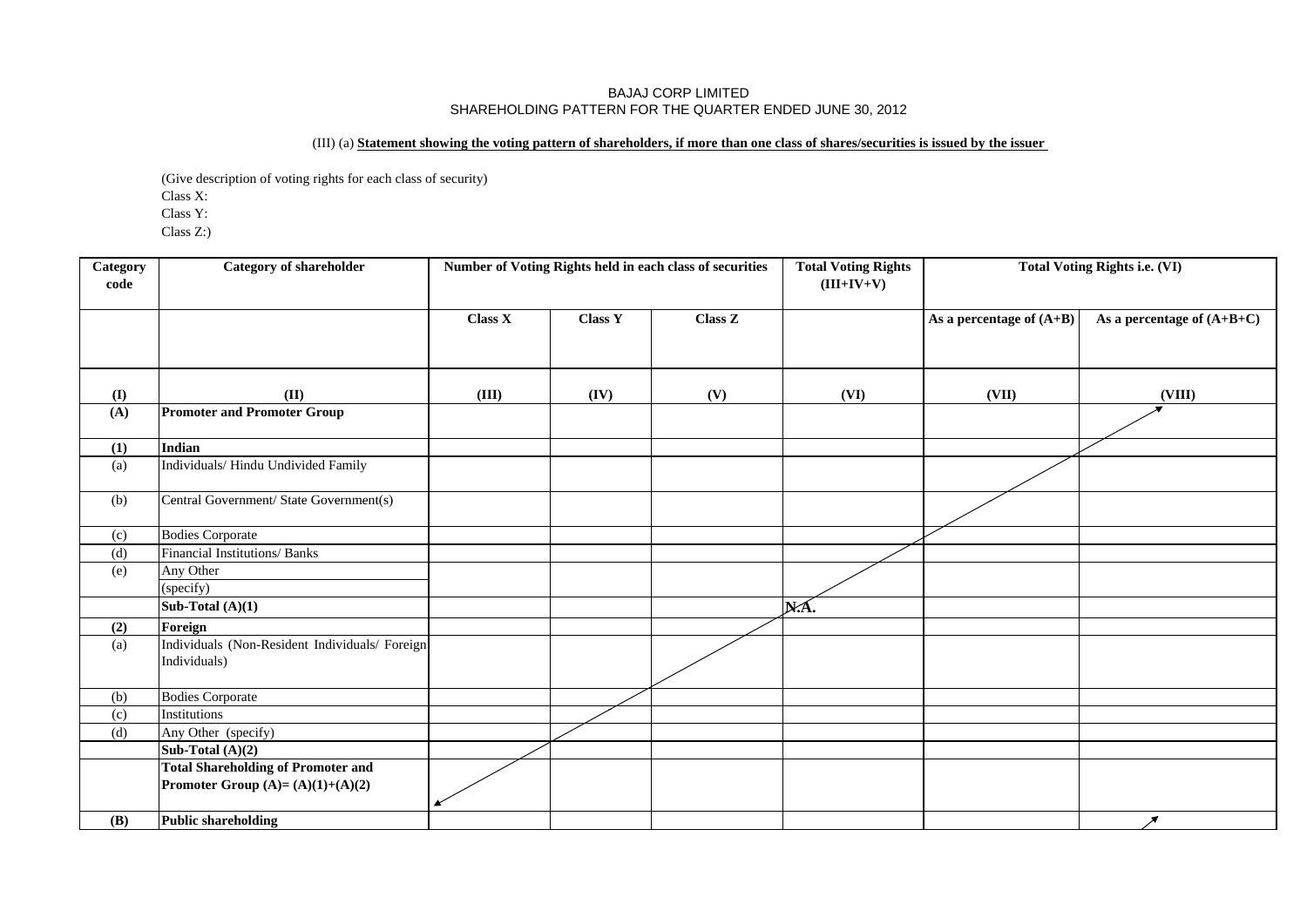## (III) (a) **Statement showing the voting pattern of shareholders, if more than one class of shares/securities is issued by the issuer**

(Give description of voting rights for each class of security)

Class X:

Class Y:

Class Z:)

| Category<br>code | <b>Category of shareholder</b>                                                  |         |                | Number of Voting Rights held in each class of securities | <b>Total Voting Rights</b><br>$(III+IV+V)$ |                            | <b>Total Voting Rights i.e. (VI)</b> |
|------------------|---------------------------------------------------------------------------------|---------|----------------|----------------------------------------------------------|--------------------------------------------|----------------------------|--------------------------------------|
|                  |                                                                                 | Class X | <b>Class Y</b> | Class Z                                                  |                                            | As a percentage of $(A+B)$ | As a percentage of $(A+B+C)$         |
| $\mathbf{I}$     | (II)                                                                            | (III)   | (IV)           | (V)                                                      | (VI)                                       | (VII)                      | (VIII)                               |
| (A)              | <b>Promoter and Promoter Group</b>                                              |         |                |                                                          |                                            |                            |                                      |
| (1)              | <b>Indian</b>                                                                   |         |                |                                                          |                                            |                            |                                      |
| (a)              | Individuals/Hindu Undivided Family                                              |         |                |                                                          |                                            |                            |                                      |
| (b)              | Central Government/ State Government(s)                                         |         |                |                                                          |                                            |                            |                                      |
| (c)              | <b>Bodies Corporate</b>                                                         |         |                |                                                          |                                            |                            |                                      |
| (d)              | Financial Institutions/ Banks                                                   |         |                |                                                          |                                            |                            |                                      |
| (e)              | Any Other<br>(specify)                                                          |         |                |                                                          |                                            |                            |                                      |
|                  | Sub-Total $(A)(1)$                                                              |         |                |                                                          | NÁ.                                        |                            |                                      |
| (2)              | Foreign                                                                         |         |                |                                                          |                                            |                            |                                      |
| (a)              | Individuals (Non-Resident Individuals/ Foreign<br>Individuals)                  |         |                |                                                          |                                            |                            |                                      |
| (b)              | <b>Bodies Corporate</b>                                                         |         |                |                                                          |                                            |                            |                                      |
| (c)              | Institutions                                                                    |         |                |                                                          |                                            |                            |                                      |
| (d)              | Any Other (specify)                                                             |         |                |                                                          |                                            |                            |                                      |
|                  | Sub-Total $(A)(2)$                                                              |         |                |                                                          |                                            |                            |                                      |
|                  | <b>Total Shareholding of Promoter and</b><br>Promoter Group $(A)=(A)(1)+(A)(2)$ |         |                |                                                          |                                            |                            |                                      |
| <b>(B)</b>       | <b>Public shareholding</b>                                                      |         |                |                                                          |                                            |                            | $\overline{\mathscr{E}}$             |